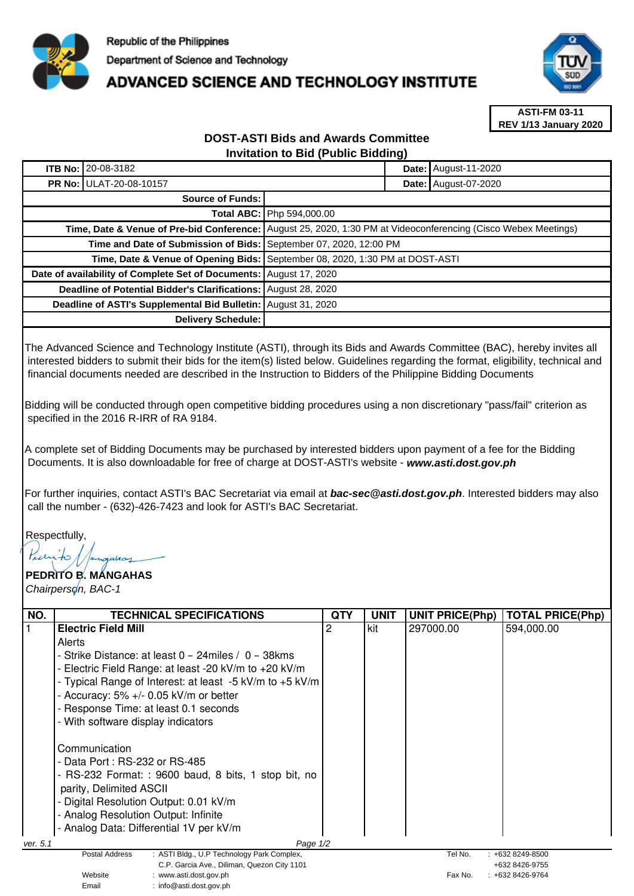

## **ADVANCED SCIENCE AND TECHNOLOGY INSTITUTE**



**ASTI-FM 03-11 REV 1/13 January 2020**

## **DOST-ASTI Bids and Awards Committee Invitation to Bid (Public Bidding)**

|                                                                    | <b>ITB No: 20-08-3182</b>      |                                                                                                                |  | Date: August-11-2020 |  |  |
|--------------------------------------------------------------------|--------------------------------|----------------------------------------------------------------------------------------------------------------|--|----------------------|--|--|
|                                                                    | <b>PR No: ULAT-20-08-10157</b> |                                                                                                                |  | Date: August-07-2020 |  |  |
| Source of Funds:                                                   |                                |                                                                                                                |  |                      |  |  |
|                                                                    |                                | <b>Total ABC: Php 594,000.00</b>                                                                               |  |                      |  |  |
|                                                                    |                                | Time, Date & Venue of Pre-bid Conference: August 25, 2020, 1:30 PM at Videoconferencing (Cisco Webex Meetings) |  |                      |  |  |
| Time and Date of Submission of Bids: September 07, 2020, 12:00 PM  |                                |                                                                                                                |  |                      |  |  |
|                                                                    |                                | Time, Date & Venue of Opening Bids: September 08, 2020, 1:30 PM at DOST-ASTI                                   |  |                      |  |  |
| Date of availability of Complete Set of Documents: August 17, 2020 |                                |                                                                                                                |  |                      |  |  |
| Deadline of Potential Bidder's Clarifications: August 28, 2020     |                                |                                                                                                                |  |                      |  |  |
| Deadline of ASTI's Supplemental Bid Bulletin: August 31, 2020      |                                |                                                                                                                |  |                      |  |  |
| Delivery Schedule:                                                 |                                |                                                                                                                |  |                      |  |  |

The Advanced Science and Technology Institute (ASTI), through its Bids and Awards Committee (BAC), hereby invites all interested bidders to submit their bids for the item(s) listed below. Guidelines regarding the format, eligibility, technical and financial documents needed are described in the Instruction to Bidders of the Philippine Bidding Documents

Bidding will be conducted through open competitive bidding procedures using a non discretionary "pass/fail" criterion as specified in the 2016 R-IRR of RA 9184.

A complete set of Bidding Documents may be purchased by interested bidders upon payment of a fee for the Bidding Documents. It is also downloadable for free of charge at DOST-ASTI's website - **www.asti.dost.gov.ph**

For further inquiries, contact ASTI's BAC Secretariat via email at **bac-sec@asti.dost.gov.ph**. Interested bidders may also call the number - (632)-426-7423 and look for ASTI's BAC Secretariat.

Respectfully,

Email : info@asti.dost.gov.ph

## **PEDRITO B. MANGAHAS**  Chairperson, BAC-1

| NO.                                         | <b>TECHNICAL SPECIFICATIONS</b>                              | QTY | <b>UNIT</b>    | <b>UNIT PRICE(Php)</b>    | <b>TOTAL PRICE(Php)</b> |  |
|---------------------------------------------|--------------------------------------------------------------|-----|----------------|---------------------------|-------------------------|--|
|                                             |                                                              |     |                |                           |                         |  |
|                                             | <b>Electric Field Mill</b>                                   | 2   | kit            | 297000.00                 | 594,000.00              |  |
|                                             | Alerts                                                       |     |                |                           |                         |  |
|                                             | - Strike Distance: at least 0 - 24miles / 0 - 38kms          |     |                |                           |                         |  |
|                                             | - Electric Field Range: at least -20 kV/m to +20 kV/m        |     |                |                           |                         |  |
|                                             | - Typical Range of Interest: at least -5 kV/m to +5 kV/m     |     |                |                           |                         |  |
|                                             | - Accuracy: $5\%$ +/- 0.05 kV/m or better                    |     |                |                           |                         |  |
|                                             | - Response Time: at least 0.1 seconds                        |     |                |                           |                         |  |
|                                             | - With software display indicators                           |     |                |                           |                         |  |
|                                             |                                                              |     |                |                           |                         |  |
|                                             | Communication                                                |     |                |                           |                         |  |
|                                             | - Data Port : RS-232 or RS-485                               |     |                |                           |                         |  |
|                                             | - RS-232 Format: : 9600 baud, 8 bits, 1 stop bit, no         |     |                |                           |                         |  |
|                                             | parity, Delimited ASCII                                      |     |                |                           |                         |  |
|                                             | - Digital Resolution Output: 0.01 kV/m                       |     |                |                           |                         |  |
|                                             | - Analog Resolution Output: Infinite                         |     |                |                           |                         |  |
|                                             | - Analog Data: Differential 1V per kV/m                      |     |                |                           |                         |  |
| Page 1/2<br>ver. 5.1                        |                                                              |     |                |                           |                         |  |
|                                             | : ASTI Bldg., U.P Technology Park Complex,<br>Postal Address |     |                | Tel No.                   | $: +6328249 - 8500$     |  |
| C.P. Garcia Ave., Diliman, Quezon City 1101 |                                                              |     | +632 8426-9755 |                           |                         |  |
|                                             | Website<br>: www.asti.dost.gov.ph                            |     |                | Fax No.<br>+632 8426-9764 |                         |  |